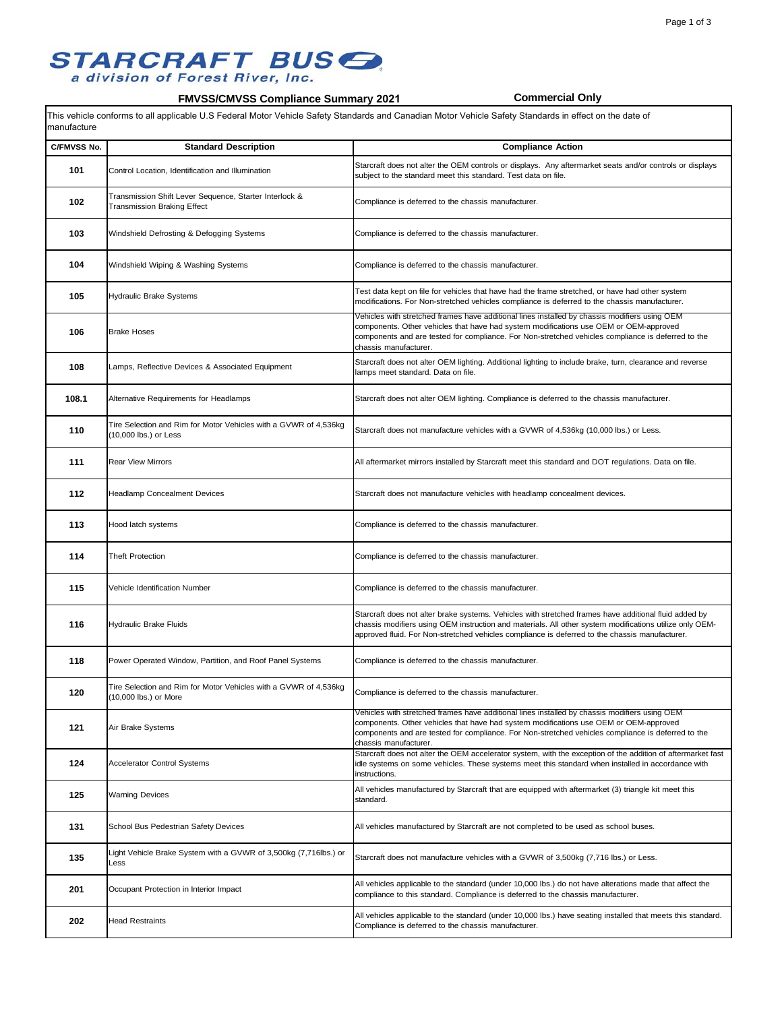## **STARCRAFT BUS G.**<br>a division of Forest River, Inc.

### **FMVSS/CMVSS Compliance Summary 2021 Commercial Only**

This vehicle conforms to all applicable U.S Federal Motor Vehicle Safety Standards and Canadian Motor Vehicle Safety Standards in effect on the date of manufacture

| C/FMVSS No. | <b>Standard Description</b>                                                               | <b>Compliance Action</b>                                                                                                                                                                                                                                                                                              |
|-------------|-------------------------------------------------------------------------------------------|-----------------------------------------------------------------------------------------------------------------------------------------------------------------------------------------------------------------------------------------------------------------------------------------------------------------------|
| 101         | Control Location, Identification and Illumination                                         | Starcraft does not alter the OEM controls or displays. Any aftermarket seats and/or controls or displays<br>subject to the standard meet this standard. Test data on file.                                                                                                                                            |
| 102         | Transmission Shift Lever Sequence, Starter Interlock &<br>Transmission Braking Effect     | Compliance is deferred to the chassis manufacturer.                                                                                                                                                                                                                                                                   |
| 103         | Windshield Defrosting & Defogging Systems                                                 | Compliance is deferred to the chassis manufacturer.                                                                                                                                                                                                                                                                   |
| 104         | Windshield Wiping & Washing Systems                                                       | Compliance is deferred to the chassis manufacturer.                                                                                                                                                                                                                                                                   |
| 105         | <b>Hydraulic Brake Systems</b>                                                            | Test data kept on file for vehicles that have had the frame stretched, or have had other system<br>modifications. For Non-stretched vehicles compliance is deferred to the chassis manufacturer.                                                                                                                      |
| 106         | <b>Brake Hoses</b>                                                                        | Vehicles with stretched frames have additional lines installed by chassis modifiers using OEM<br>components. Other vehicles that have had system modifications use OEM or OEM-approved<br>components and are tested for compliance. For Non-stretched vehicles compliance is deferred to the<br>chassis manufacturer. |
| 108         | Lamps, Reflective Devices & Associated Equipment                                          | Starcraft does not alter OEM lighting. Additional lighting to include brake, turn, clearance and reverse<br>lamps meet standard. Data on file.                                                                                                                                                                        |
| 108.1       | Alternative Requirements for Headlamps                                                    | Starcraft does not alter OEM lighting. Compliance is deferred to the chassis manufacturer.                                                                                                                                                                                                                            |
| 110         | Tire Selection and Rim for Motor Vehicles with a GVWR of 4,536kg<br>(10,000 lbs.) or Less | Starcraft does not manufacture vehicles with a GVWR of 4,536kg (10,000 lbs.) or Less.                                                                                                                                                                                                                                 |
| 111         | <b>Rear View Mirrors</b>                                                                  | All aftermarket mirrors installed by Starcraft meet this standard and DOT regulations. Data on file.                                                                                                                                                                                                                  |
| 112         | <b>Headlamp Concealment Devices</b>                                                       | Starcraft does not manufacture vehicles with headlamp concealment devices.                                                                                                                                                                                                                                            |
| 113         | Hood latch systems                                                                        | Compliance is deferred to the chassis manufacturer.                                                                                                                                                                                                                                                                   |
| 114         | <b>Theft Protection</b>                                                                   | Compliance is deferred to the chassis manufacturer.                                                                                                                                                                                                                                                                   |
| 115         | Vehicle Identification Number                                                             | Compliance is deferred to the chassis manufacturer.                                                                                                                                                                                                                                                                   |
| 116         | <b>Hydraulic Brake Fluids</b>                                                             | Starcraft does not alter brake systems. Vehicles with stretched frames have additional fluid added by<br>chassis modifiers using OEM instruction and materials. All other system modifications utilize only OEM-<br>approved fluid. For Non-stretched vehicles compliance is deferred to the chassis manufacturer.    |
| 118         | Power Operated Window, Partition, and Roof Panel Systems                                  | Compliance is deferred to the chassis manufacturer.                                                                                                                                                                                                                                                                   |
| 120         | Tire Selection and Rim for Motor Vehicles with a GVWR of 4,536kg<br>(10,000 lbs.) or More | Compliance is deferred to the chassis manufacturer.                                                                                                                                                                                                                                                                   |
| 121         | Air Brake Systems                                                                         | Vehicles with stretched frames have additional lines installed by chassis modifiers using OEM<br>components. Other vehicles that have had system modifications use OEM or OEM-approved<br>components and are tested for compliance. For Non-stretched vehicles compliance is deferred to the<br>chassis manufacturer. |
| 124         | <b>Accelerator Control Systems</b>                                                        | Starcraft does not alter the OEM accelerator system, with the exception of the addition of aftermarket fast<br>idle systems on some vehicles. These systems meet this standard when installed in accordance with<br>instructions.                                                                                     |
| 125         | <b>Warning Devices</b>                                                                    | All vehicles manufactured by Starcraft that are equipped with aftermarket (3) triangle kit meet this<br>standard.                                                                                                                                                                                                     |
| 131         | School Bus Pedestrian Safety Devices                                                      | All vehicles manufactured by Starcraft are not completed to be used as school buses.                                                                                                                                                                                                                                  |
| 135         | Light Vehicle Brake System with a GVWR of 3,500kg (7,716lbs.) or<br>Less                  | Starcraft does not manufacture vehicles with a GVWR of 3,500kg (7,716 lbs.) or Less.                                                                                                                                                                                                                                  |
| 201         | Occupant Protection in Interior Impact                                                    | All vehicles applicable to the standard (under 10,000 lbs.) do not have alterations made that affect the<br>compliance to this standard. Compliance is deferred to the chassis manufacturer.                                                                                                                          |
| 202         | <b>Head Restraints</b>                                                                    | All vehicles applicable to the standard (under 10,000 lbs.) have seating installed that meets this standard.<br>Compliance is deferred to the chassis manufacturer.                                                                                                                                                   |
|             |                                                                                           |                                                                                                                                                                                                                                                                                                                       |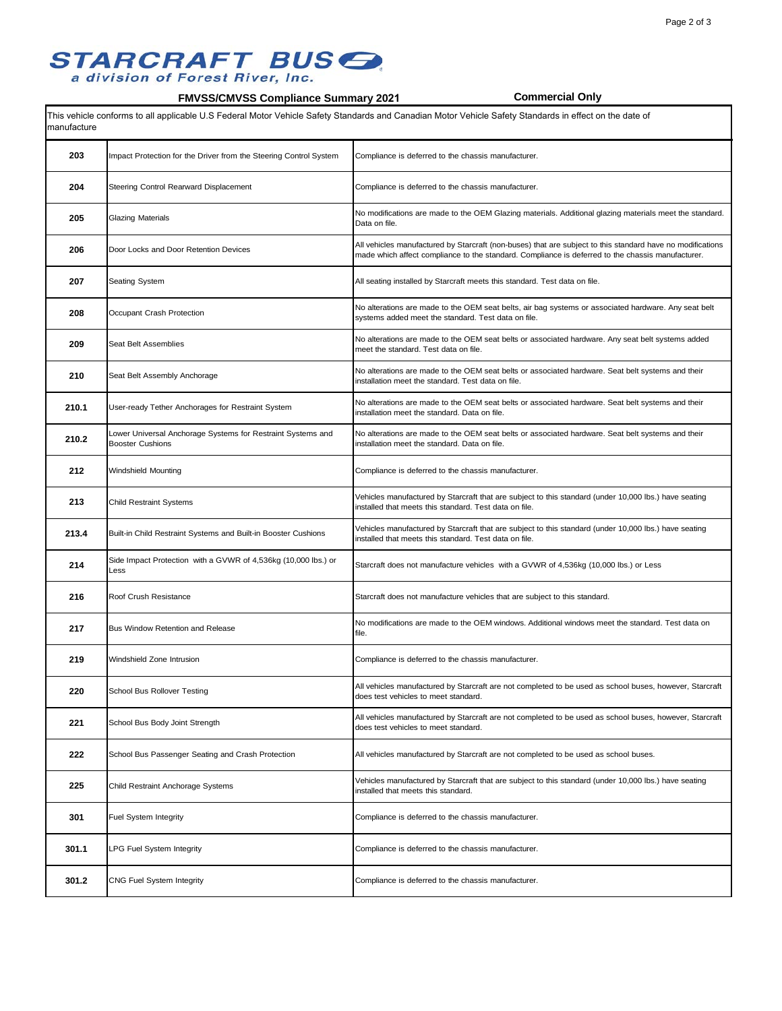#### Page 2 of 3

## **STARCRAFT BUS G.**<br>a division of Forest River, Inc.

### **FMVSS/CMVSS Compliance Summary 2021 Commercial Only**

This vehicle conforms to all applicable U.S Federal Motor Vehicle Safety Standards and Canadian Motor Vehicle Safety Standards in effect on the date of manufacture

| 203   | Impact Protection for the Driver from the Steering Control System                      | Compliance is deferred to the chassis manufacturer.                                                                                                                                                             |
|-------|----------------------------------------------------------------------------------------|-----------------------------------------------------------------------------------------------------------------------------------------------------------------------------------------------------------------|
| 204   | Steering Control Rearward Displacement                                                 | Compliance is deferred to the chassis manufacturer.                                                                                                                                                             |
| 205   | Glazing Materials                                                                      | No modifications are made to the OEM Glazing materials. Additional glazing materials meet the standard.<br>Data on file.                                                                                        |
| 206   | Door Locks and Door Retention Devices                                                  | All vehicles manufactured by Starcraft (non-buses) that are subject to this standard have no modifications<br>made which affect compliance to the standard. Compliance is deferred to the chassis manufacturer. |
| 207   | Seating System                                                                         | All seating installed by Starcraft meets this standard. Test data on file.                                                                                                                                      |
| 208   | Occupant Crash Protection                                                              | No alterations are made to the OEM seat belts, air bag systems or associated hardware. Any seat belt<br>systems added meet the standard. Test data on file.                                                     |
| 209   | Seat Belt Assemblies                                                                   | No alterations are made to the OEM seat belts or associated hardware. Any seat belt systems added<br>meet the standard. Test data on file.                                                                      |
| 210   | Seat Belt Assembly Anchorage                                                           | No alterations are made to the OEM seat belts or associated hardware. Seat belt systems and their<br>installation meet the standard. Test data on file.                                                         |
| 210.1 | User-ready Tether Anchorages for Restraint System                                      | No alterations are made to the OEM seat belts or associated hardware. Seat belt systems and their<br>installation meet the standard. Data on file.                                                              |
| 210.2 | Lower Universal Anchorage Systems for Restraint Systems and<br><b>Booster Cushions</b> | No alterations are made to the OEM seat belts or associated hardware. Seat belt systems and their<br>installation meet the standard. Data on file.                                                              |
| 212   | Windshield Mounting                                                                    | Compliance is deferred to the chassis manufacturer.                                                                                                                                                             |
| 213   | <b>Child Restraint Systems</b>                                                         | Vehicles manufactured by Starcraft that are subject to this standard (under 10,000 lbs.) have seating<br>installed that meets this standard. Test data on file.                                                 |
| 213.4 | Built-in Child Restraint Systems and Built-in Booster Cushions                         | Vehicles manufactured by Starcraft that are subject to this standard (under 10,000 lbs.) have seating<br>installed that meets this standard. Test data on file.                                                 |
| 214   | Side Impact Protection with a GVWR of 4,536kg (10,000 lbs.) or<br>_ess                 | Starcraft does not manufacture vehicles with a GVWR of 4,536kg (10,000 lbs.) or Less                                                                                                                            |
| 216   | Roof Crush Resistance                                                                  | Starcraft does not manufacture vehicles that are subject to this standard.                                                                                                                                      |
| 217   | <b>Bus Window Retention and Release</b>                                                | No modifications are made to the OEM windows. Additional windows meet the standard. Test data on<br>file.                                                                                                       |
| 219   | Windshield Zone Intrusion                                                              | Compliance is deferred to the chassis manufacturer.                                                                                                                                                             |
| 220   | School Bus Rollover Testing                                                            | All vehicles manufactured by Starcraft are not completed to be used as school buses, however, Starcraft<br>does test vehicles to meet standard.                                                                 |
| 221   | School Bus Body Joint Strength                                                         | All vehicles manufactured by Starcraft are not completed to be used as school buses, however, Starcraft<br>does test vehicles to meet standard.                                                                 |
| 222   | School Bus Passenger Seating and Crash Protection                                      | All vehicles manufactured by Starcraft are not completed to be used as school buses.                                                                                                                            |
| 225   | Child Restraint Anchorage Systems                                                      | Vehicles manufactured by Starcraft that are subject to this standard (under 10,000 lbs.) have seating<br>installed that meets this standard.                                                                    |
| 301   | Fuel System Integrity                                                                  | Compliance is deferred to the chassis manufacturer.                                                                                                                                                             |
| 301.1 | LPG Fuel System Integrity                                                              | Compliance is deferred to the chassis manufacturer.                                                                                                                                                             |
| 301.2 | CNG Fuel System Integrity                                                              | Compliance is deferred to the chassis manufacturer.                                                                                                                                                             |